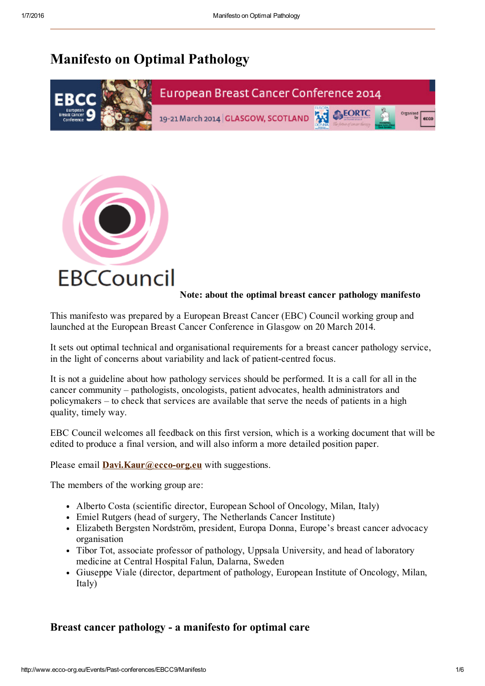# Manifesto on Optimal Pathology





#### Note: about the optimal breast cancer pathology manifesto

This manifesto was prepared by a European Breast Cancer (EBC) Council working group and launched at the European Breast Cancer Conference in Glasgow on 20 March 2014.

It sets out optimal technical and organisational requirements for a breast cancer pathology service, in the light of concerns about variability and lack of patient-centred focus.

It is not a guideline about how pathology services should be performed. It is a call for all in the cancer community – pathologists, oncologists, patient advocates, health administrators and policymakers – to check that services are available that serve the needs of patients in a high quality, timely way.

EBC Council welcomes all feedback on this first version, which is a working document that will be edited to produce a final version, and will also inform a more detailed position paper.

Please email  $Davi.Kaur@ecco-org.eu$  with suggestions.

The members of the working group are:

- Alberto Costa (scientific director, European School of Oncology, Milan, Italy)
- Emiel Rutgers (head of surgery, The Netherlands Cancer Institute)
- Elizabeth Bergsten Nordström, president, Europa Donna, Europe's breast cancer advocacy organisation
- Tibor Tot, associate professor of pathology, Uppsala University, and head of laboratory medicine at Central Hospital Falun, Dalarna, Sweden
- Giuseppe Viale (director, department of pathology, European Institute of Oncology, Milan, Italy)

## Breast cancer pathology - a manifesto for optimal care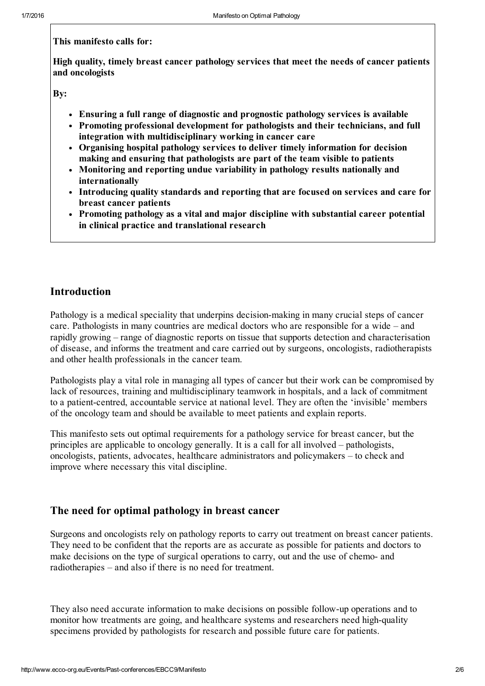#### This manifesto calls for:

High quality, timely breast cancer pathology services that meet the needs of cancer patients and oncologists

Bv:

- Ensuring a full range of diagnostic and prognostic pathology services is available
- Promoting professional development for pathologists and their technicians, and full integration with multidisciplinary working in cancer care
- Organising hospital pathology services to deliver timely information for decision making and ensuring that pathologists are part of the team visible to patients
- Monitoring and reporting undue variability in pathology results nationally and internationally
- Introducing quality standards and reporting that are focused on services and care for breast cancer patients
- Promoting pathology as a vital and major discipline with substantial career potential in clinical practice and translational research

## Introduction

Pathology is a medical speciality that underpins decision-making in many crucial steps of cancer care. Pathologists in many countries are medical doctors who are responsible for a wide – and rapidly growing – range of diagnostic reports on tissue that supports detection and characterisation of disease, and informs the treatment and care carried out by surgeons, oncologists, radiotherapists and other health professionals in the cancer team.

Pathologists play a vital role in managing all types of cancer but their work can be compromised by lack of resources, training and multidisciplinary teamwork in hospitals, and a lack of commitment to a patient-centred, accountable service at national level. They are often the 'invisible' members of the oncology team and should be available to meet patients and explain reports.

This manifesto sets out optimal requirements for a pathology service for breast cancer, but the principles are applicable to oncology generally. It is a call for all involved – pathologists, oncologists, patients, advocates, healthcare administrators and policymakers – to check and improve where necessary this vital discipline.

## The need for optimal pathology in breast cancer

Surgeons and oncologists rely on pathology reports to carry out treatment on breast cancer patients. They need to be confident that the reports are as accurate as possible for patients and doctors to make decisions on the type of surgical operations to carry, out and the use of chemo- and radiotherapies – and also if there is no need for treatment.

They also need accurate information to make decisions on possible follow-up operations and to monitor how treatments are going, and healthcare systems and researchers need high-quality specimens provided by pathologists for research and possible future care for patients.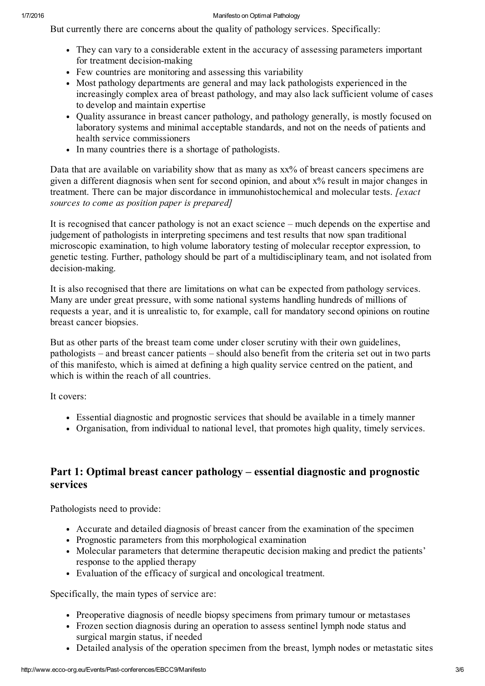#### 1/7/2016 Manifesto on Optimal Pathology

But currently there are concerns about the quality of pathology services. Specifically:

- They can vary to a considerable extent in the accuracy of assessing parameters important for treatment decision-making
- Few countries are monitoring and assessing this variability
- Most pathology departments are general and may lack pathologists experienced in the increasingly complex area of breast pathology, and may also lack sufficient volume of cases to develop and maintain expertise
- Ouality assurance in breast cancer pathology, and pathology generally, is mostly focused on laboratory systems and minimal acceptable standards, and not on the needs of patients and health service commissioners
- In many countries there is a shortage of pathologists.

Data that are available on variability show that as many as  $xx\%$  of breast cancers specimens are given a different diagnosis when sent for second opinion, and about x% result in major changes in treatment. There can be major discordance in immunohistochemical and molecular tests. [exact] sources to come as position paper is prepared]

It is recognised that cancer pathology is not an exact science – much depends on the expertise and judgement of pathologists in interpreting specimens and test results that now span traditional microscopic examination, to high volume laboratory testing of molecular receptor expression, to genetic testing. Further, pathology should be part of a multidisciplinary team, and not isolated from decision-making.

It is also recognised that there are limitations on what can be expected from pathology services. Many are under great pressure, with some national systems handling hundreds of millions of requests a year, and it is unrealistic to, for example, call for mandatory second opinions on routine breast cancer biopsies.

But as other parts of the breast team come under closer scrutiny with their own guidelines, pathologists – and breast cancer patients – should also benefit from the criteria set out in two parts of this manifesto, which is aimed at defining a high quality service centred on the patient, and which is within the reach of all countries.

It covers:

- Essential diagnostic and prognostic services that should be available in a timely manner
- Organisation, from individual to national level, that promotes high quality, timely services.

## Part 1: Optimal breast cancer pathology – essential diagnostic and prognostic services

Pathologists need to provide:

- Accurate and detailed diagnosis of breast cancer from the examination of the specimen
- Prognostic parameters from this morphological examination
- Molecular parameters that determine therapeutic decision making and predict the patients' response to the applied therapy
- Evaluation of the efficacy of surgical and oncological treatment.

Specifically, the main types of service are:

- Preoperative diagnosis of needle biopsy specimens from primary tumour or metastases
- Frozen section diagnosis during an operation to assess sentinel lymph node status and surgical margin status, if needed
- Detailed analysis of the operation specimen from the breast, lymph nodes or metastatic sites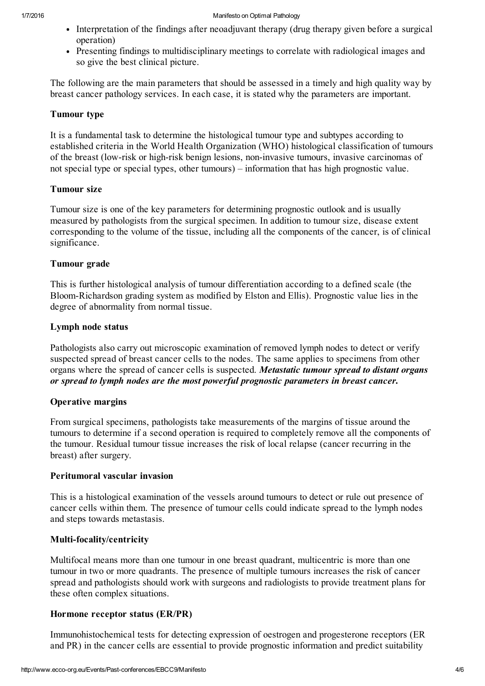- Interpretation of the findings after neoadjuvant therapy (drug therapy given before a surgical operation)
- Presenting findings to multidisciplinary meetings to correlate with radiological images and so give the best clinical picture.

The following are the main parameters that should be assessed in a timely and high quality way by breast cancer pathology services. In each case, it is stated why the parameters are important.

#### Tumour type

It is a fundamental task to determine the histological tumour type and subtypes according to established criteria in the World Health Organization (WHO) histological classification of tumours of the breast (low-risk or high-risk benign lesions, non-invasive tumours, invasive carcinomas of not special type or special types, other tumours) – information that has high prognostic value.

#### Tumour size

Tumour size is one of the key parameters for determining prognostic outlook and is usually measured by pathologists from the surgical specimen. In addition to tumour size, disease extent corresponding to the volume of the tissue, including all the components of the cancer, is of clinical significance.

#### Tumour grade

This is further histological analysis of tumour differentiation according to a defined scale (the BloomRichardson grading system as modified by Elston and Ellis). Prognostic value lies in the degree of abnormality from normal tissue.

#### Lymph node status

Pathologists also carry out microscopic examination of removed lymph nodes to detect or verify suspected spread of breast cancer cells to the nodes. The same applies to specimens from other organs where the spread of cancer cells is suspected. Metastatic tumour spread to distant organs or spread to lymph nodes are the most powerful prognostic parameters in breast cancer.

#### Operative margins

From surgical specimens, pathologists take measurements of the margins of tissue around the tumours to determine if a second operation is required to completely remove all the components of the tumour. Residual tumour tissue increases the risk of local relapse (cancer recurring in the breast) after surgery.

#### Peritumoral vascular invasion

This is a histological examination of the vessels around tumours to detect or rule out presence of cancer cells within them. The presence of tumour cells could indicate spread to the lymph nodes and steps towards metastasis.

#### Multi-focality/centricity

Multifocal means more than one tumour in one breast quadrant, multicentric is more than one tumour in two or more quadrants. The presence of multiple tumours increases the risk of cancer spread and pathologists should work with surgeons and radiologists to provide treatment plans for these often complex situations.

#### Hormone receptor status (ER/PR)

Immunohistochemical tests for detecting expression of oestrogen and progesterone receptors (ER and PR) in the cancer cells are essential to provide prognostic information and predict suitability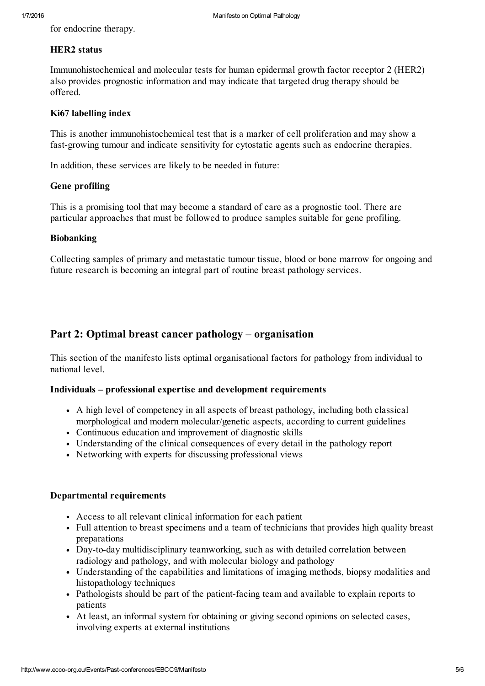for endocrine therapy.

### HER2 status

Immunohistochemical and molecular tests for human epidermal growth factor receptor 2 (HER2) also provides prognostic information and may indicate that targeted drug therapy should be offered.

#### Ki67 labelling index

This is another immunohistochemical test that is a marker of cell proliferation and may show a fast-growing tumour and indicate sensitivity for cytostatic agents such as endocrine therapies.

In addition, these services are likely to be needed in future:

#### Gene profiling

This is a promising tool that may become a standard of care as a prognostic tool. There are particular approaches that must be followed to produce samples suitable for gene profiling.

#### Biobanking

Collecting samples of primary and metastatic tumour tissue, blood or bone marrow for ongoing and future research is becoming an integral part of routine breast pathology services.

## Part 2: Optimal breast cancer pathology – organisation

This section of the manifesto lists optimal organisational factors for pathology from individual to national level.

#### Individuals – professional expertise and development requirements

- A high level of competency in all aspects of breast pathology, including both classical morphological and modern molecular/genetic aspects, according to current guidelines
- Continuous education and improvement of diagnostic skills
- Understanding of the clinical consequences of every detail in the pathology report
- Networking with experts for discussing professional views

#### Departmental requirements

- Access to all relevant clinical information for each patient
- Full attention to breast specimens and a team of technicians that provides high quality breast preparations
- Day-to-day multidisciplinary teamworking, such as with detailed correlation between radiology and pathology, and with molecular biology and pathology
- Understanding of the capabilities and limitations of imaging methods, biopsy modalities and histopathology techniques
- Pathologists should be part of the patient-facing team and available to explain reports to patients
- At least, an informal system for obtaining or giving second opinions on selected cases, involving experts at external institutions